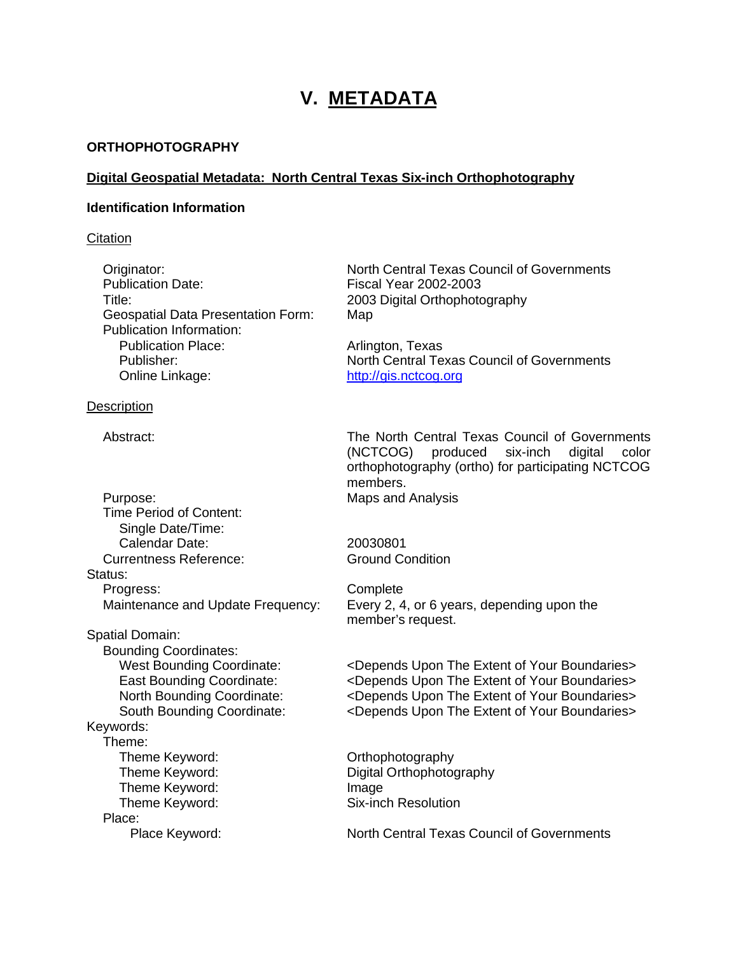# **V. METADATA**

#### **ORTHOPHOTOGRAPHY**

#### **Digital Geospatial Metadata: North Central Texas Six-inch Orthophotography**

#### **Identification Information**

#### **Citation**

Publication Date: Fiscal Year 2002-2003 Title: 2003 Digital Orthophotography Geospatial Data Presentation Form: Map Publication Information: Publication Place: Arlington, Texas Online Linkage: http://gis.nctcog.org

#### **Description**

Purpose: Maps and Analysis Time Period of Content: Single Date/Time: Calendar Date: 20030801 Currentness Reference: Ground Condition Status: Progress: Complete Spatial Domain: Bounding Coordinates: Keywords:

Theme: Theme Keyword: Channel Controller Controller Controller Controller Controller Controller Controller Controller Theme Keyword: Image Theme Keyword: Six-inch Resolution Place:

Originator: North Central Texas Council of Governments

Publisher: North Central Texas Council of Governments

Abstract: The North Central Texas Council of Governments (NCTCOG) produced six-inch digital color orthophotography (ortho) for participating NCTCOG members.

Maintenance and Update Frequency: Every 2, 4, or 6 years, depending upon the member's request.

West Bounding Coordinate:  $\leq$  <Depends Upon The Extent of Your Boundaries> East Bounding Coordinate: <Depends Upon The Extent of Your Boundaries> North Bounding Coordinate: <Depends Upon The Extent of Your Boundaries> South Bounding Coordinate: <Depends Upon The Extent of Your Boundaries>

Theme Keyword: Digital Orthophotography

Place Keyword: North Central Texas Council of Governments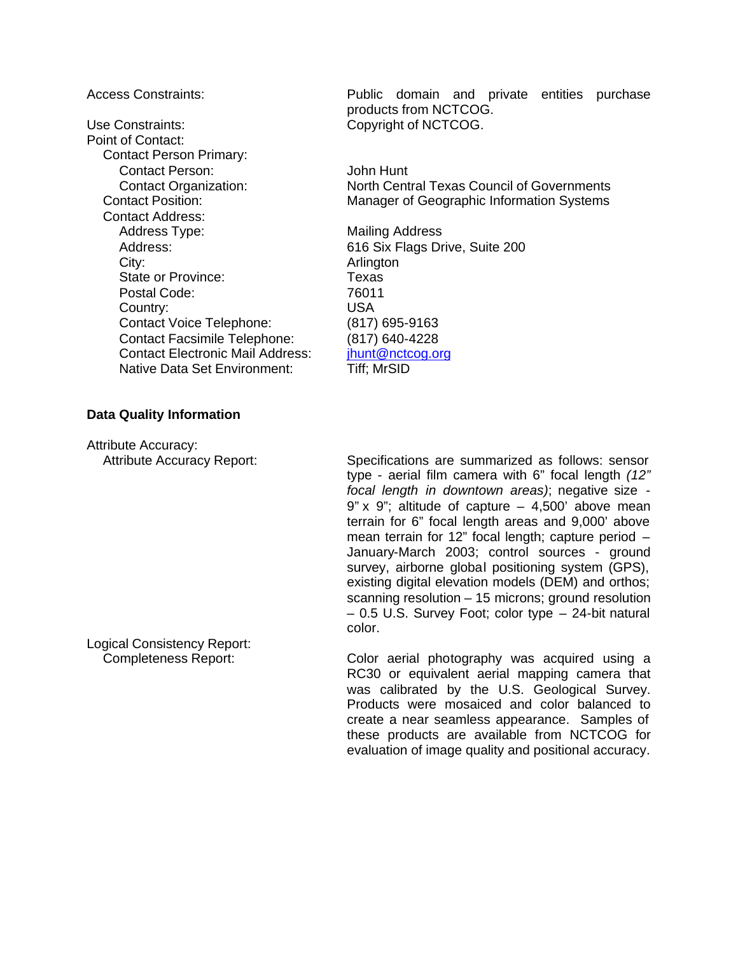Use Constraints: Copyright of NCTCOG. Point of Contact: Contact Person Primary: Contact Person: John Hunt Contact Address: Address Type: Mailing Address Address: 616 Six Flags Drive, Suite 200 City: City: **Arlington** State or Province: Texas Postal Code: 76011 Country: USA Contact Voice Telephone: (817) 695-9163 Contact Facsimile Telephone: (817) 640-4228 Contact Electronic Mail Address: ihunt@nctcog.org Native Data Set Environment: Tiff; MrSID

Access Constraints: Public domain and private entities purchase products from NCTCOG.

Contact Organization: North Central Texas Council of Governments Contact Position: Manager of Geographic Information Systems

#### **Data Quality Information**

Attribute Accuracy:

Attribute Accuracy Report: Specifications are summarized as follows: sensor type - aerial film camera with 6" focal length *(12" focal length in downtown areas)*; negative size -  $9"$  x  $9"$ ; altitude of capture  $-$  4,500' above mean terrain for 6" focal length areas and 9,000' above mean terrain for 12" focal length; capture period – January-March 2003; control sources - ground survey, airborne global positioning system (GPS), existing digital elevation models (DEM) and orthos; scanning resolution – 15 microns; ground resolution – 0.5 U.S. Survey Foot; color type – 24-bit natural color.

Completeness Report: Color aerial photography was acquired using a RC30 or equivalent aerial mapping camera that was calibrated by the U.S. Geological Survey. Products were mosaiced and color balanced to create a near seamless appearance. Samples of these products are available from NCTCOG for evaluation of image quality and positional accuracy.

Logical Consistency Report: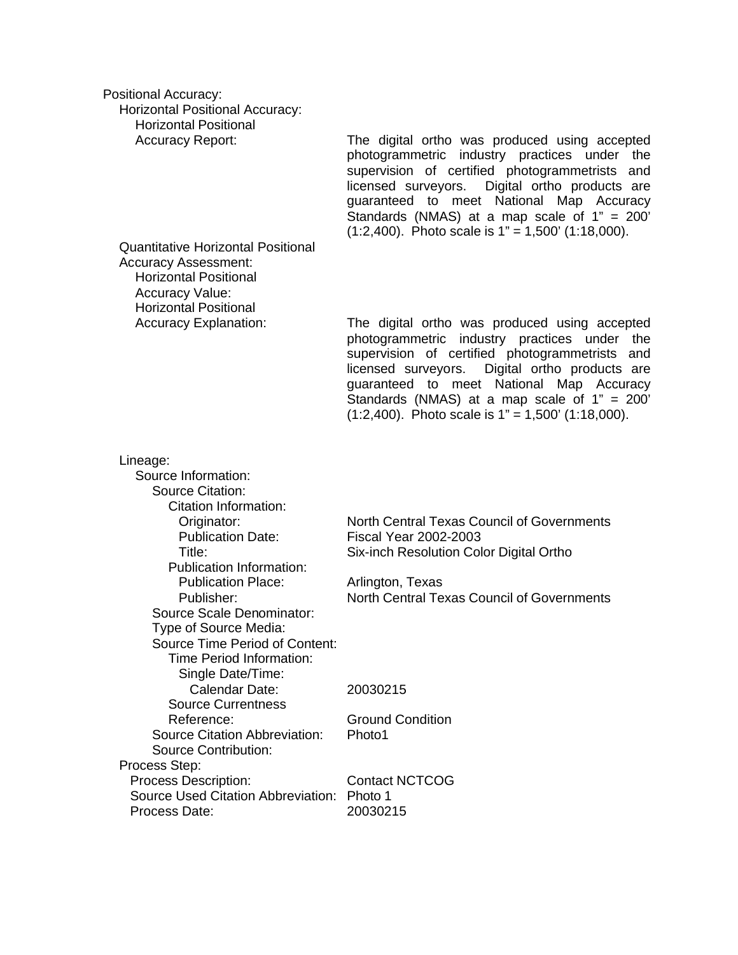| <b>Positional Accuracy:</b><br><b>Horizontal Positional Accuracy:</b>                                                                                              |                                                                                                                                                                                                                                                                                                                                                                 |
|--------------------------------------------------------------------------------------------------------------------------------------------------------------------|-----------------------------------------------------------------------------------------------------------------------------------------------------------------------------------------------------------------------------------------------------------------------------------------------------------------------------------------------------------------|
| <b>Horizontal Positional</b>                                                                                                                                       |                                                                                                                                                                                                                                                                                                                                                                 |
| <b>Accuracy Report:</b>                                                                                                                                            | The digital ortho was produced using accepted<br>photogrammetric industry practices under<br>the<br>supervision of certified photogrammetrists and<br>Digital ortho products are<br>licensed surveyors.<br>guaranteed to meet National Map Accuracy<br>Standards (NMAS) at a map scale of $1" = 200'$<br>$(1:2,400)$ . Photo scale is $1" = 1,500'$ (1:18,000). |
| <b>Quantitative Horizontal Positional</b><br><b>Accuracy Assessment:</b><br><b>Horizontal Positional</b><br><b>Accuracy Value:</b><br><b>Horizontal Positional</b> |                                                                                                                                                                                                                                                                                                                                                                 |
| <b>Accuracy Explanation:</b>                                                                                                                                       | The digital ortho was produced using accepted<br>photogrammetric industry practices under<br>the<br>supervision of certified photogrammetrists and<br>Digital ortho products are<br>licensed surveyors.<br>guaranteed to meet National Map Accuracy<br>Standards (NMAS) at a map scale of $1" = 200'$<br>$(1:2,400)$ . Photo scale is $1" = 1,500'$ (1:18,000). |
| Lineage:                                                                                                                                                           |                                                                                                                                                                                                                                                                                                                                                                 |
| Source Information:                                                                                                                                                |                                                                                                                                                                                                                                                                                                                                                                 |
| <b>Source Citation:</b>                                                                                                                                            |                                                                                                                                                                                                                                                                                                                                                                 |
| Citation Information:                                                                                                                                              | North Central Texas Council of Governments                                                                                                                                                                                                                                                                                                                      |
| Originator:<br><b>Publication Date:</b>                                                                                                                            | <b>Fiscal Year 2002-2003</b>                                                                                                                                                                                                                                                                                                                                    |
| Title:                                                                                                                                                             | Six-inch Resolution Color Digital Ortho                                                                                                                                                                                                                                                                                                                         |
| <b>Publication Information:</b>                                                                                                                                    |                                                                                                                                                                                                                                                                                                                                                                 |
| <b>Publication Place:</b>                                                                                                                                          | Arlington, Texas                                                                                                                                                                                                                                                                                                                                                |
| Publisher:                                                                                                                                                         | North Central Texas Council of Governments                                                                                                                                                                                                                                                                                                                      |
| <b>Source Scale Denominator:</b><br>Type of Source Media:                                                                                                          |                                                                                                                                                                                                                                                                                                                                                                 |
| <b>Source Time Period of Content:</b>                                                                                                                              |                                                                                                                                                                                                                                                                                                                                                                 |
| Time Period Information:                                                                                                                                           |                                                                                                                                                                                                                                                                                                                                                                 |
| Single Date/Time:                                                                                                                                                  |                                                                                                                                                                                                                                                                                                                                                                 |
| Calendar Date:                                                                                                                                                     | 20030215                                                                                                                                                                                                                                                                                                                                                        |
| <b>Source Currentness</b>                                                                                                                                          |                                                                                                                                                                                                                                                                                                                                                                 |
| Reference:<br><b>Source Citation Abbreviation:</b>                                                                                                                 | <b>Ground Condition</b><br>Photo1                                                                                                                                                                                                                                                                                                                               |
| <b>Source Contribution:</b>                                                                                                                                        |                                                                                                                                                                                                                                                                                                                                                                 |
| Process Step:                                                                                                                                                      |                                                                                                                                                                                                                                                                                                                                                                 |
| Process Description:                                                                                                                                               | <b>Contact NCTCOG</b>                                                                                                                                                                                                                                                                                                                                           |
| Source Used Citation Abbreviation:                                                                                                                                 | Photo 1                                                                                                                                                                                                                                                                                                                                                         |
| Process Date:                                                                                                                                                      | 20030215                                                                                                                                                                                                                                                                                                                                                        |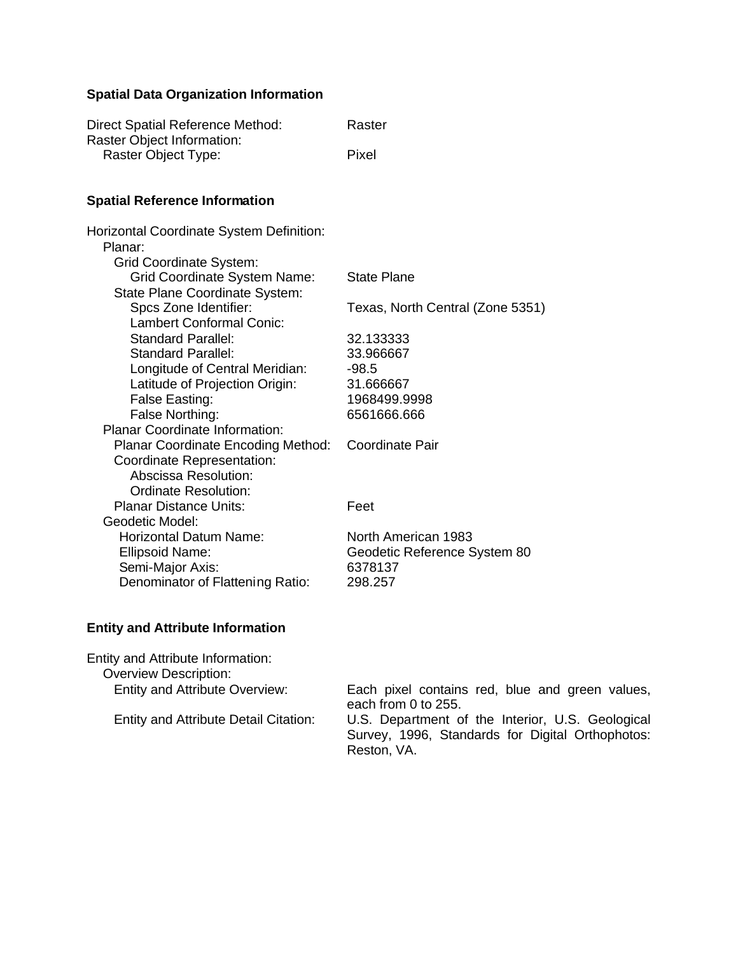## **Spatial Data Organization Information**

| <b>Direct Spatial Reference Method:</b><br>Raster Object Information:                 | Raster                           |
|---------------------------------------------------------------------------------------|----------------------------------|
| Raster Object Type:                                                                   | Pixel                            |
| <b>Spatial Reference Information</b>                                                  |                                  |
| Horizontal Coordinate System Definition:<br>Planar:<br><b>Grid Coordinate System:</b> |                                  |
| <b>Grid Coordinate System Name:</b><br>State Plane Coordinate System:                 | <b>State Plane</b>               |
| Spcs Zone Identifier:<br><b>Lambert Conformal Conic:</b>                              | Texas, North Central (Zone 5351) |
| <b>Standard Parallel:</b>                                                             | 32.133333                        |
| <b>Standard Parallel:</b>                                                             | 33.966667                        |
| Longitude of Central Meridian:                                                        | $-98.5$                          |
| Latitude of Projection Origin:                                                        | 31.666667                        |
| False Easting:                                                                        | 1968499.9998                     |
| False Northing:                                                                       | 6561666.666                      |
| <b>Planar Coordinate Information:</b>                                                 |                                  |
| Planar Coordinate Encoding Method:                                                    | <b>Coordinate Pair</b>           |
| Coordinate Representation:                                                            |                                  |
| Abscissa Resolution:                                                                  |                                  |
| <b>Ordinate Resolution:</b>                                                           |                                  |
| <b>Planar Distance Units:</b>                                                         | Feet                             |
| Geodetic Model:                                                                       |                                  |
| <b>Horizontal Datum Name:</b>                                                         | North American 1983              |
| <b>Ellipsoid Name:</b>                                                                | Geodetic Reference System 80     |
| Semi-Major Axis:                                                                      | 6378137                          |
| Denominator of Flattening Ratio:                                                      | 298.257                          |
|                                                                                       |                                  |
|                                                                                       |                                  |

## **Entity and Attribute Information**

| Entity and Attribute Information:<br><b>Overview Description:</b> |                                                                                                                     |
|-------------------------------------------------------------------|---------------------------------------------------------------------------------------------------------------------|
| <b>Entity and Attribute Overview:</b>                             | Each pixel contains red, blue and green values,<br>each from 0 to 255.                                              |
| <b>Entity and Attribute Detail Citation:</b>                      | U.S. Department of the Interior, U.S. Geological<br>Survey, 1996, Standards for Digital Orthophotos:<br>Reston, VA. |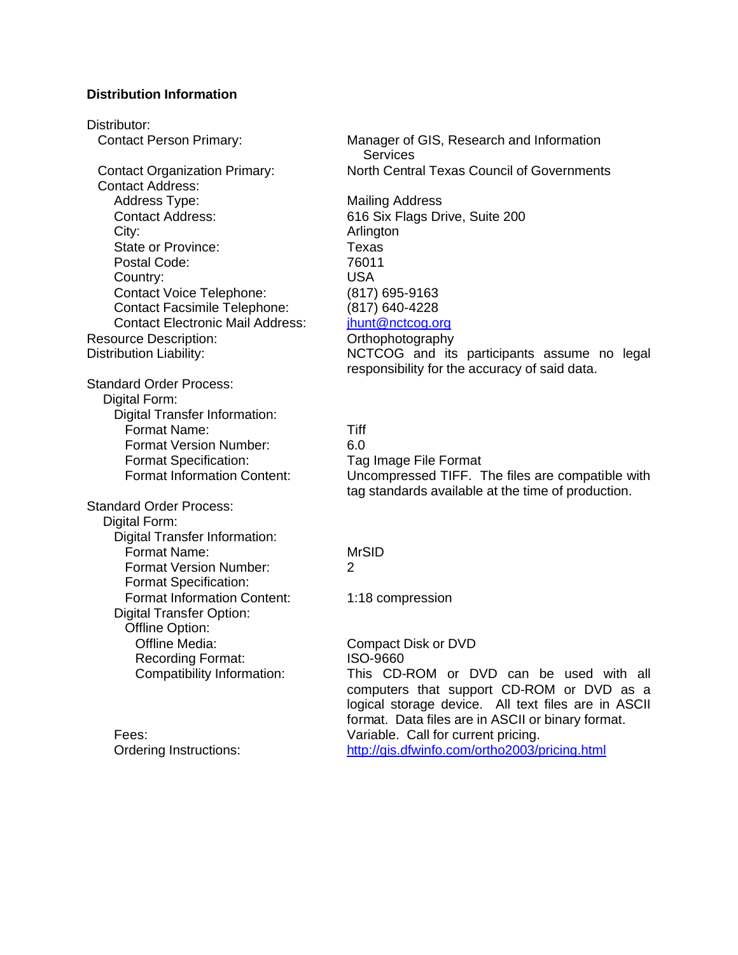#### **Distribution Information**

Distributor: Contact Address: Address Type: Mailing Address Contact Address: 616 Six Flags Drive, Suite 200 City: **Arlington** State or Province: Texas Postal Code: 76011 Country: USA Contact Voice Telephone: (817) 695-9163 Contact Facsimile Telephone: (817) 640-4228 Contact Electronic Mail Address: jhunt@nctcog.org Resource Description: Camerator Communication Communication Communication Communication Communication Communication Communication Communication Communication Communication Communication Communication Communication Communic Standard Order Process: Digital Form: Digital Transfer Information: Format Name: Tiff Format Version Number: 6.0 Format Specification: Tag Image File Format Standard Order Process: Digital Form: Digital Transfer Information:

Format Specification:

Digital Transfer Option: Offline Option:

Contact Person Primary: Manager of GIS, Research and Information **Services** Contact Organization Primary: North Central Texas Council of Governments

Distribution Liability: The Superson Control of the NCTCOG and its participants assume no legal responsibility for the accuracy of said data.

Format Information Content: Uncompressed TIFF. The files are compatible with tag standards available at the time of production.

#### Format Name: MrSID

Format Version Number: 2

Format Information Content: 1:18 compression

Offline Media: Compact Disk or DVD Recording Format: ISO-9660 Compatibility Information: This CD-ROM or DVD can be used with all computers that support CD-ROM or DVD as a logical storage device. All text files are in ASCII format. Data files are in ASCII or binary format. Fees: Variable. Call for current pricing. Ordering Instructions: http://gis.dfwinfo.com/ortho2003/pricing.html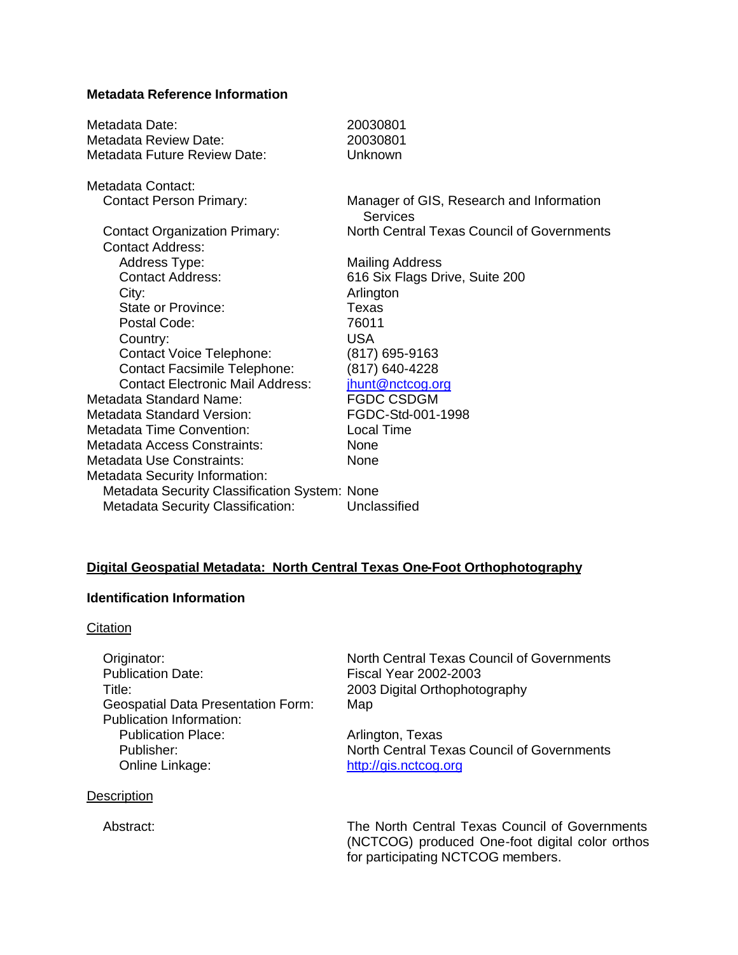#### **Metadata Reference Information**

| Metadata Date:<br>Metadata Review Date:                         | 20030801<br>20030801                                        |
|-----------------------------------------------------------------|-------------------------------------------------------------|
| Metadata Future Review Date:                                    | Unknown                                                     |
| Metadata Contact:                                               |                                                             |
| <b>Contact Person Primary:</b>                                  | Manager of GIS, Research and Information<br><b>Services</b> |
| <b>Contact Organization Primary:</b><br><b>Contact Address:</b> | North Central Texas Council of Governments                  |
| Address Type:                                                   | <b>Mailing Address</b>                                      |
| <b>Contact Address:</b>                                         | 616 Six Flags Drive, Suite 200                              |
| City:                                                           | Arlington                                                   |
| <b>State or Province:</b>                                       | Texas                                                       |
| Postal Code:                                                    | 76011                                                       |
| Country:                                                        | <b>USA</b>                                                  |
| <b>Contact Voice Telephone:</b>                                 | (817) 695-9163                                              |
| <b>Contact Facsimile Telephone:</b>                             | (817) 640-4228                                              |
| <b>Contact Electronic Mail Address:</b>                         | jhunt@nctcog.org                                            |
| Metadata Standard Name:                                         | <b>FGDC CSDGM</b>                                           |
| Metadata Standard Version:                                      | FGDC-Std-001-1998                                           |
| <b>Metadata Time Convention:</b>                                | <b>Local Time</b>                                           |
| Metadata Access Constraints:                                    | <b>None</b>                                                 |
| <b>Metadata Use Constraints:</b>                                | None                                                        |
| Metadata Security Information:                                  |                                                             |
| Metadata Security Classification System: None                   |                                                             |
| <b>Metadata Security Classification:</b>                        | Unclassified                                                |
|                                                                 |                                                             |

#### **Digital Geospatial Metadata: North Central Texas One-Foot Orthophotography**

### **Identification Information**

#### **Citation**

Title: 2003 Digital Orthophotography Geospatial Data Presentation Form: Map Publication Information: Publication Place: Arlington, Texas Online Linkage: http://gis.nctcog.org

#### **Description**

Originator:<br>
Publication Date:<br>
Fiscal Year 2002-2003 Fiscal Year 2002-2003

Publisher: North Central Texas Council of Governments

Abstract: The North Central Texas Council of Governments (NCTCOG) produced One-foot digital color orthos for participating NCTCOG members.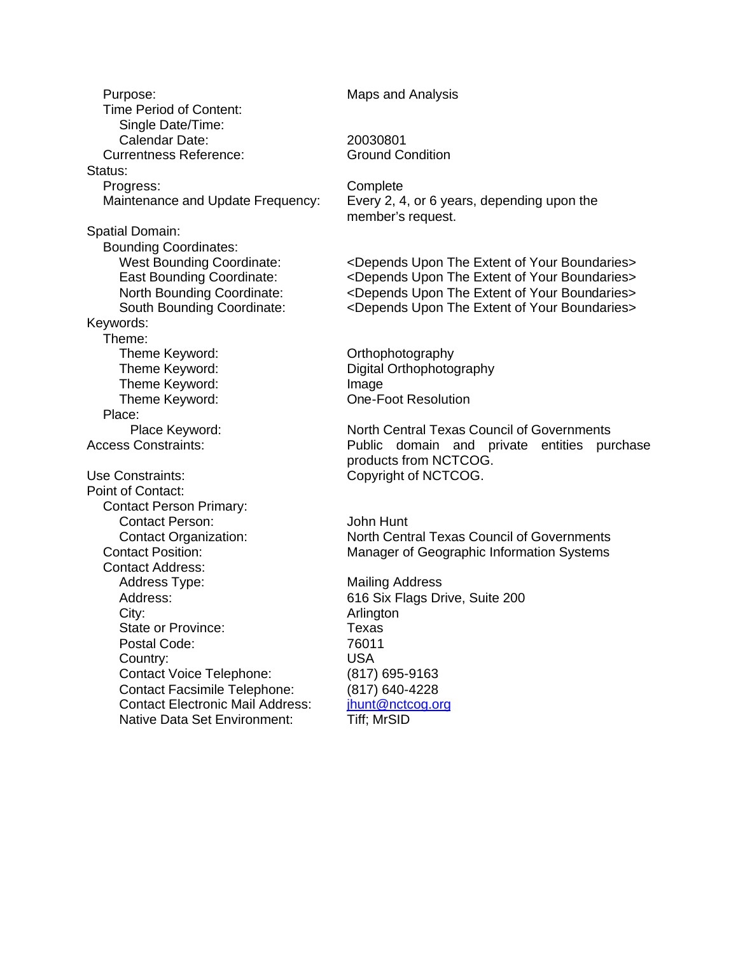Purpose: Maps and Analysis Time Period of Content: Single Date/Time: Calendar Date: 20030801 Currentness Reference: Ground Condition Status: Progress: Complete Spatial Domain: Bounding Coordinates: Keywords: Theme: Theme Keyword: Channel Controller Controller Controller Controller Controller Controller Controller Controller Theme Keyword: Digital Orthophotography Theme Keyword: Image Theme Keyword: Change one-Foot Resolution Place: Use Constraints: Copyright of NCTCOG. Point of Contact: Contact Person Primary: Contact Person: John Hunt Contact Address: Address Type: Mailing Address Address: 616 Six Flags Drive, Suite 200 City: **Arlington** State or Province: Texas Postal Code: 76011 Country: USA Contact Voice Telephone: (817) 695-9163 Contact Facsimile Telephone: (817) 640-4228 Contact Electronic Mail Address: ihunt@nctcog.org Native Data Set Environment: Tiff; MrSID

Maintenance and Update Frequency: Every 2, 4, or 6 years, depending upon the member's request.

West Bounding Coordinate: <Depends Upon The Extent of Your Boundaries> East Bounding Coordinate: <Depends Upon The Extent of Your Boundaries> North Bounding Coordinate: <Depends Upon The Extent of Your Boundaries> South Bounding Coordinate: <Depends Upon The Extent of Your Boundaries>

Place Keyword: North Central Texas Council of Governments<br>Access Constraints: Public domain and private entities pu Public domain and private entities purchase products from NCTCOG.

Contact Organization: North Central Texas Council of Governments Contact Position: Manager of Geographic Information Systems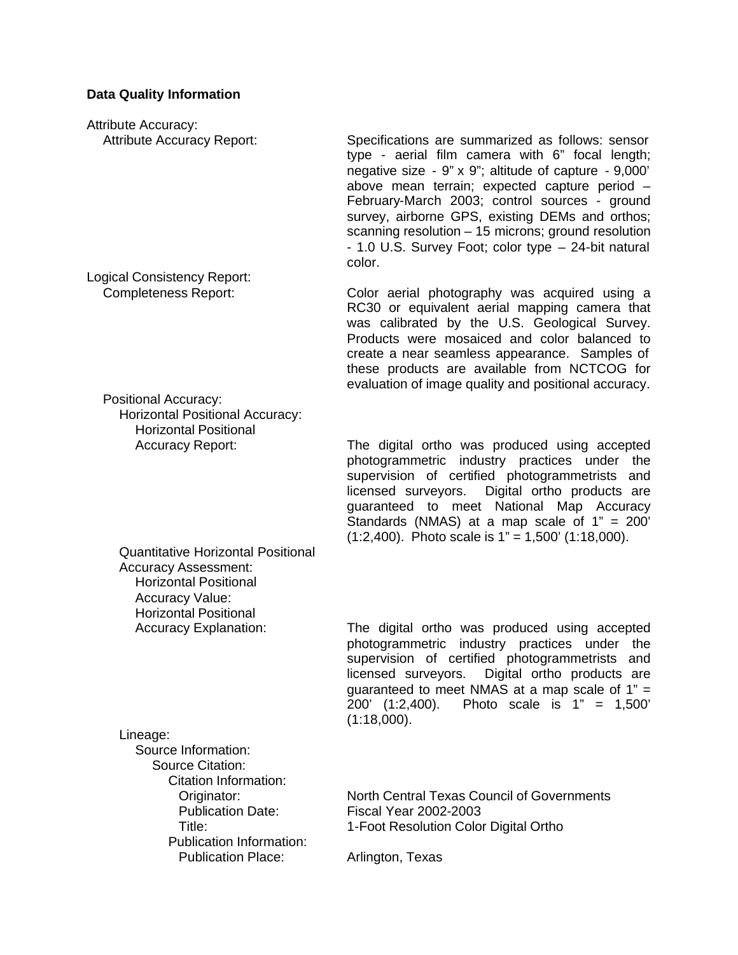#### **Data Quality Information**

Attribute Accuracy:

Logical Consistency Report:

Positional Accuracy: Horizontal Positional Accuracy: Horizontal Positional

Quantitative Horizontal Positional Accuracy Assessment: Horizontal Positional Accuracy Value: Horizontal Positional

Attribute Accuracy Report: Specifications are summarized as follows: sensor type - aerial film camera with 6" focal length; negative size - 9" x 9"; altitude of capture - 9,000' above mean terrain; expected capture period – February-March 2003; control sources - ground survey, airborne GPS, existing DEMs and orthos: scanning resolution – 15 microns; ground resolution - 1.0 U.S. Survey Foot; color type – 24-bit natural color.

Completeness Report: Color aerial photography was acquired using a RC30 or equivalent aerial mapping camera that was calibrated by the U.S. Geological Survey. Products were mosaiced and color balanced to create a near seamless appearance. Samples of these products are available from NCTCOG for evaluation of image quality and positional accuracy.

Accuracy Report: The digital ortho was produced using accepted photogrammetric industry practices under the supervision of certified photogrammetrists and licensed surveyors. Digital ortho products are guaranteed to meet National Map Accuracy Standards (NMAS) at a map scale of  $1" = 200'$  $(1:2,400)$ . Photo scale is  $1" = 1,500'$  (1:18,000).

Accuracy Explanation: The digital ortho was produced using accepted photogrammetric industry practices under the supervision of certified photogrammetrists and licensed surveyors. Digital ortho products are quaranteed to meet NMAS at a map scale of  $1" =$ 200' (1:2,400). Photo scale is 1" = 1,500' (1:18,000).

| Lineage:                        |                                                   |
|---------------------------------|---------------------------------------------------|
| Source Information:             |                                                   |
| <b>Source Citation:</b>         |                                                   |
| Citation Information:           |                                                   |
| Originator:                     | <b>North Central Texas Council of Governments</b> |
| <b>Publication Date:</b>        | <b>Fiscal Year 2002-2003</b>                      |
| Title:                          | 1-Foot Resolution Color Digital Ortho             |
| <b>Publication Information:</b> |                                                   |
| <b>Publication Place:</b>       | Arlington, Texas                                  |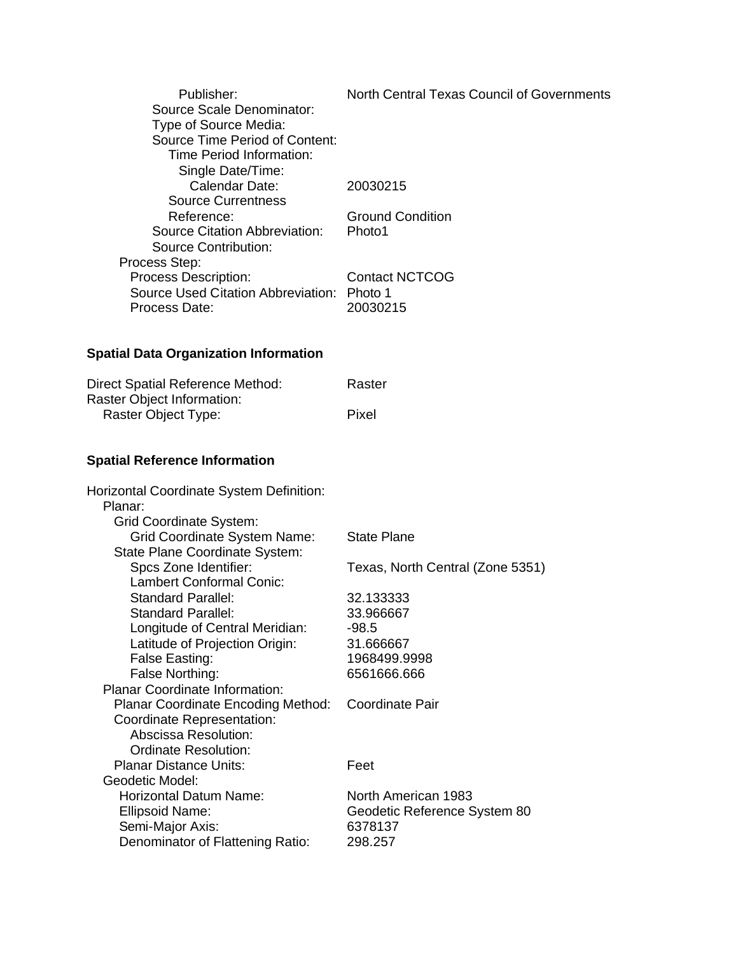| North Central Texas Council of Governments |
|--------------------------------------------|
|                                            |
|                                            |
| 20030215                                   |
|                                            |
| <b>Ground Condition</b>                    |
| Photo1                                     |
|                                            |
|                                            |
| <b>Contact NCTCOG</b>                      |
| Source Used Citation Abbreviation: Photo 1 |
| 20030215                                   |
|                                            |

## **Spatial Data Organization Information**

| Direct Spatial Reference Method: | Raster |
|----------------------------------|--------|
| Raster Object Information:       |        |
| Raster Object Type:              | Pixel  |

## **Spatial Reference Information**

| Horizontal Coordinate System Definition:  |                                  |
|-------------------------------------------|----------------------------------|
| Planar:                                   |                                  |
| Grid Coordinate System:                   |                                  |
| <b>Grid Coordinate System Name:</b>       | <b>State Plane</b>               |
| State Plane Coordinate System:            |                                  |
| Spcs Zone Identifier:                     | Texas, North Central (Zone 5351) |
| <b>Lambert Conformal Conic:</b>           |                                  |
| <b>Standard Parallel:</b>                 | 32.133333                        |
| <b>Standard Parallel:</b>                 | 33.966667                        |
| Longitude of Central Meridian:            | $-98.5$                          |
| Latitude of Projection Origin:            | 31.666667                        |
| False Easting:                            | 1968499.9998                     |
| False Northing:                           | 6561666.666                      |
| <b>Planar Coordinate Information:</b>     |                                  |
| <b>Planar Coordinate Encoding Method:</b> | Coordinate Pair                  |
| Coordinate Representation:                |                                  |
| Abscissa Resolution:                      |                                  |
| Ordinate Resolution:                      |                                  |
| <b>Planar Distance Units:</b>             | Feet                             |
| Geodetic Model:                           |                                  |
| Horizontal Datum Name:                    | North American 1983              |
| <b>Ellipsoid Name:</b>                    | Geodetic Reference System 80     |
| Semi-Major Axis:                          | 6378137                          |
| Denominator of Flattening Ratio:          | 298.257                          |
|                                           |                                  |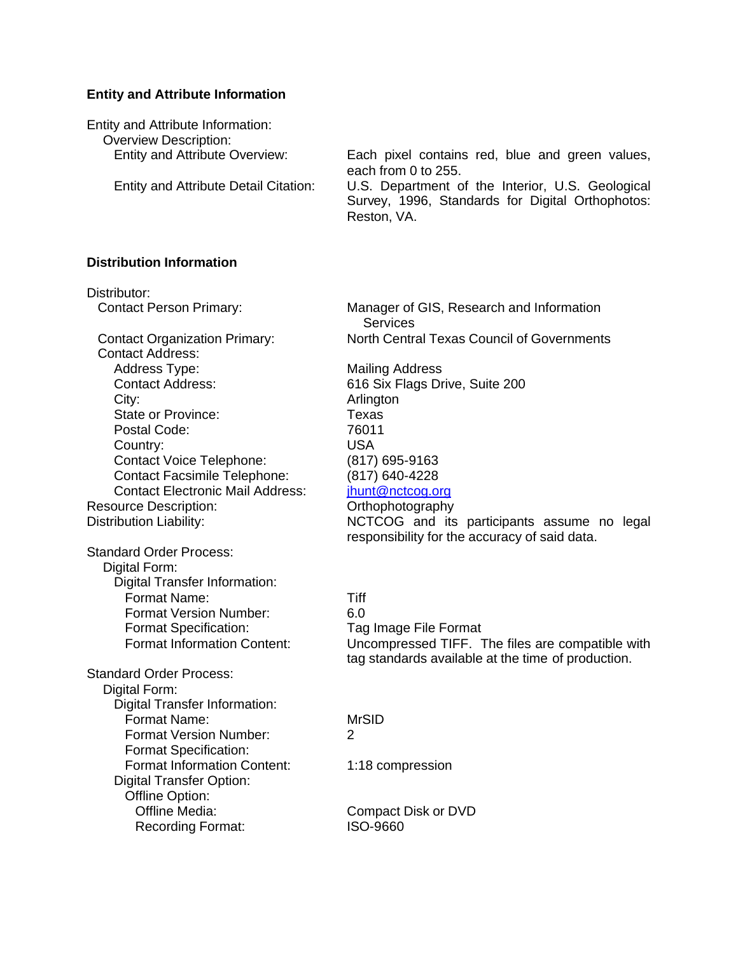#### **Entity and Attribute Information**

| Entity and Attribute Information:            |                                                                                                                     |
|----------------------------------------------|---------------------------------------------------------------------------------------------------------------------|
| <b>Overview Description:</b>                 |                                                                                                                     |
| <b>Entity and Attribute Overview:</b>        | Each pixel contains red, blue and green values,<br>each from 0 to 255.                                              |
| <b>Entity and Attribute Detail Citation:</b> | U.S. Department of the Interior, U.S. Geological<br>Survey, 1996, Standards for Digital Orthophotos:<br>Reston, VA. |

#### **Distribution Information**

Distributor:

Contact Address: Address Type: Mailing Address City: **Arlington** State or Province: Texas Postal Code: 76011 Country: USA Contact Voice Telephone: (817) 695-9163 Contact Facsimile Telephone: (817) 640-4228 Contact Electronic Mail Address: jhunt@nctcog.org Resource Description: Camerator Control Computer Control Control Orthophotography

Standard Order Process: Digital Form: Digital Transfer Information: Format Name: Tiff Format Version Number: 6.0 Format Specification: Tag Image File Format

Standard Order Process: Digital Form: Digital Transfer Information: Format Name: MrSID Format Version Number: 2 Format Specification: Format Information Content: 1:18 compression Digital Transfer Option: Offline Option: Offline Media: Compact Disk or DVD Recording Format: ISO-9660

Contact Person Primary: Manager of GIS, Research and Information **Services** Contact Organization Primary: North Central Texas Council of Governments

Contact Address: 616 Six Flags Drive, Suite 200 Distribution Liability: NCTCOG and its participants assume no legal responsibility for the accuracy of said data.

Format Information Content: Uncompressed TIFF. The files are compatible with tag standards available at the time of production.